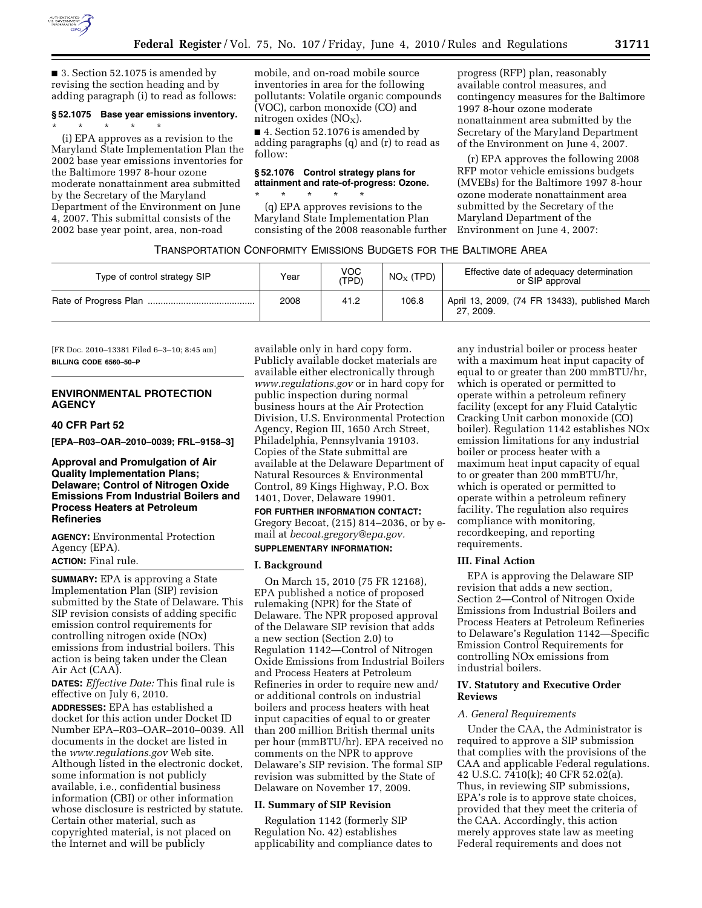

■ 3. Section 52.1075 is amended by revising the section heading and by adding paragraph (i) to read as follows:

## **§ 52.1075 Base year emissions inventory.**

\* \* \* \* \* (i) EPA approves as a revision to the Maryland State Implementation Plan the 2002 base year emissions inventories for the Baltimore 1997 8-hour ozone moderate nonattainment area submitted by the Secretary of the Maryland Department of the Environment on June 4, 2007. This submittal consists of the 2002 base year point, area, non-road

mobile, and on-road mobile source inventories in area for the following pollutants: Volatile organic compounds (VOC), carbon monoxide (CO) and nitrogen oxides  $(NO<sub>X</sub>)$ .

■ 4. Section 52.1076 is amended by adding paragraphs (q) and (r) to read as follow:

## **§ 52.1076 Control strategy plans for attainment and rate-of-progress: Ozone.**

\* \* \* \* \* (q) EPA approves revisions to the Maryland State Implementation Plan consisting of the 2008 reasonable further

progress (RFP) plan, reasonably available control measures, and contingency measures for the Baltimore 1997 8-hour ozone moderate nonattainment area submitted by the Secretary of the Maryland Department of the Environment on June 4, 2007.

(r) EPA approves the following 2008 RFP motor vehicle emissions budgets (MVEBs) for the Baltimore 1997 8-hour ozone moderate nonattainment area submitted by the Secretary of the Maryland Department of the Environment on June 4, 2007:

## TRANSPORTATION CONFORMITY EMISSIONS BUDGETS FOR THE BALTIMORE AREA

| Type of control strategy SIP | Year | <b>VOC</b><br>(TPD) | $NOx$ (TPD) | Effective date of adequacy determination<br>or SIP approval |
|------------------------------|------|---------------------|-------------|-------------------------------------------------------------|
|                              | 2008 | 41.2                | 106.8       | April 13, 2009, (74 FR 13433), published March<br>27, 2009. |

[FR Doc. 2010–13381 Filed 6–3–10; 8:45 am] **BILLING CODE 6560–50–P** 

## **ENVIRONMENTAL PROTECTION AGENCY**

## **40 CFR Part 52**

**[EPA–R03–OAR–2010–0039; FRL–9158–3]** 

## **Approval and Promulgation of Air Quality Implementation Plans; Delaware; Control of Nitrogen Oxide Emissions From Industrial Boilers and Process Heaters at Petroleum Refineries**

**AGENCY:** Environmental Protection Agency (EPA).

# **ACTION:** Final rule.

**SUMMARY:** EPA is approving a State Implementation Plan (SIP) revision submitted by the State of Delaware. This SIP revision consists of adding specific emission control requirements for controlling nitrogen oxide (NOx) emissions from industrial boilers. This action is being taken under the Clean Air Act (CAA).

**DATES:** *Effective Date:* This final rule is effective on July 6, 2010*.* 

**ADDRESSES:** EPA has established a docket for this action under Docket ID Number EPA–R03–OAR–2010–0039. All documents in the docket are listed in the *www.regulations.gov* Web site. Although listed in the electronic docket, some information is not publicly available, i.e., confidential business information (CBI) or other information whose disclosure is restricted by statute. Certain other material, such as copyrighted material, is not placed on the Internet and will be publicly

available only in hard copy form. Publicly available docket materials are available either electronically through *www.regulations.gov* or in hard copy for public inspection during normal business hours at the Air Protection Division, U.S. Environmental Protection Agency, Region III, 1650 Arch Street, Philadelphia, Pennsylvania 19103. Copies of the State submittal are available at the Delaware Department of Natural Resources & Environmental Control, 89 Kings Highway, P.O. Box 1401, Dover, Delaware 19901.

**FOR FURTHER INFORMATION CONTACT:**  Gregory Becoat, (215) 814–2036, or by email at *becoat.gregory@epa.gov.* 

# **SUPPLEMENTARY INFORMATION:**

# **I. Background**

On March 15, 2010 (75 FR 12168), EPA published a notice of proposed rulemaking (NPR) for the State of Delaware. The NPR proposed approval of the Delaware SIP revision that adds a new section (Section 2.0) to Regulation 1142—Control of Nitrogen Oxide Emissions from Industrial Boilers and Process Heaters at Petroleum Refineries in order to require new and/ or additional controls on industrial boilers and process heaters with heat input capacities of equal to or greater than 200 million British thermal units per hour (mmBTU/hr). EPA received no comments on the NPR to approve Delaware's SIP revision. The formal SIP revision was submitted by the State of Delaware on November 17, 2009.

### **II. Summary of SIP Revision**

Regulation 1142 (formerly SIP Regulation No. 42) establishes applicability and compliance dates to any industrial boiler or process heater with a maximum heat input capacity of equal to or greater than 200 mmBTU/hr, which is operated or permitted to operate within a petroleum refinery facility (except for any Fluid Catalytic Cracking Unit carbon monoxide (CO) boiler). Regulation 1142 establishes NOx emission limitations for any industrial boiler or process heater with a maximum heat input capacity of equal to or greater than 200 mmBTU/hr, which is operated or permitted to operate within a petroleum refinery facility. The regulation also requires compliance with monitoring, recordkeeping, and reporting requirements.

#### **III. Final Action**

EPA is approving the Delaware SIP revision that adds a new section, Section 2—Control of Nitrogen Oxide Emissions from Industrial Boilers and Process Heaters at Petroleum Refineries to Delaware's Regulation 1142—Specific Emission Control Requirements for controlling NOx emissions from industrial boilers.

### **IV. Statutory and Executive Order Reviews**

#### *A. General Requirements*

Under the CAA, the Administrator is required to approve a SIP submission that complies with the provisions of the CAA and applicable Federal regulations. 42 U.S.C. 7410(k); 40 CFR 52.02(a). Thus, in reviewing SIP submissions, EPA's role is to approve state choices, provided that they meet the criteria of the CAA. Accordingly, this action merely approves state law as meeting Federal requirements and does not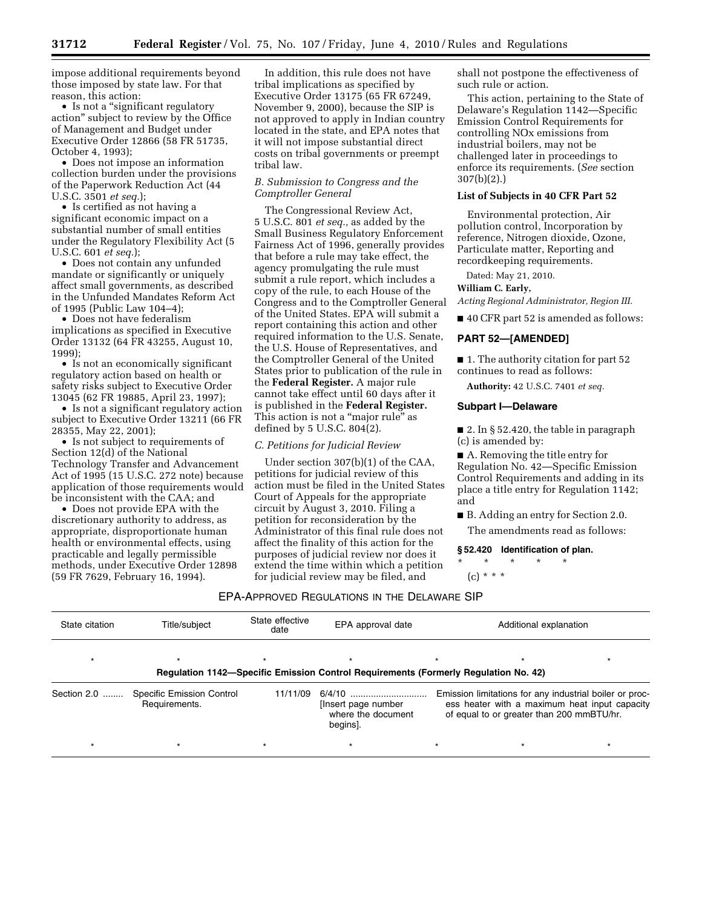impose additional requirements beyond those imposed by state law. For that reason, this action:

• Is not a "significant regulatory action'' subject to review by the Office of Management and Budget under Executive Order 12866 (58 FR 51735, October 4, 1993);

• Does not impose an information collection burden under the provisions of the Paperwork Reduction Act (44 U.S.C. 3501 *et seq.*);

• Is certified as not having a significant economic impact on a substantial number of small entities under the Regulatory Flexibility Act (5 U.S.C. 601 *et seq.*);

• Does not contain any unfunded mandate or significantly or uniquely affect small governments, as described in the Unfunded Mandates Reform Act of 1995 (Public Law 104–4);

• Does not have federalism implications as specified in Executive Order 13132 (64 FR 43255, August 10, 1999);

• Is not an economically significant regulatory action based on health or safety risks subject to Executive Order 13045 (62 FR 19885, April 23, 1997);

• Is not a significant regulatory action subject to Executive Order 13211 (66 FR 28355, May 22, 2001);

• Is not subject to requirements of Section 12(d) of the National Technology Transfer and Advancement Act of 1995 (15 U.S.C. 272 note) because application of those requirements would be inconsistent with the CAA; and

• Does not provide EPA with the discretionary authority to address, as appropriate, disproportionate human health or environmental effects, using practicable and legally permissible methods, under Executive Order 12898 (59 FR 7629, February 16, 1994).

In addition, this rule does not have tribal implications as specified by Executive Order 13175 (65 FR 67249, November 9, 2000), because the SIP is not approved to apply in Indian country located in the state, and EPA notes that it will not impose substantial direct costs on tribal governments or preempt tribal law.

## *B. Submission to Congress and the Comptroller General*

The Congressional Review Act, 5 U.S.C. 801 *et seq.,* as added by the Small Business Regulatory Enforcement Fairness Act of 1996, generally provides that before a rule may take effect, the agency promulgating the rule must submit a rule report, which includes a copy of the rule, to each House of the Congress and to the Comptroller General of the United States. EPA will submit a report containing this action and other required information to the U.S. Senate, the U.S. House of Representatives, and the Comptroller General of the United States prior to publication of the rule in the **Federal Register.** A major rule cannot take effect until 60 days after it is published in the **Federal Register.**  This action is not a "major rule" as defined by 5 U.S.C. 804(2).

#### *C. Petitions for Judicial Review*

Under section 307(b)(1) of the CAA, petitions for judicial review of this action must be filed in the United States Court of Appeals for the appropriate circuit by August 3, 2010. Filing a petition for reconsideration by the Administrator of this final rule does not affect the finality of this action for the purposes of judicial review nor does it extend the time within which a petition for judicial review may be filed, and

shall not postpone the effectiveness of such rule or action.

This action, pertaining to the State of Delaware's Regulation 1142—Specific Emission Control Requirements for controlling NOx emissions from industrial boilers, may not be challenged later in proceedings to enforce its requirements. (*See* section 307(b)(2).)

### **List of Subjects in 40 CFR Part 52**

Environmental protection, Air pollution control, Incorporation by reference, Nitrogen dioxide, Ozone, Particulate matter, Reporting and recordkeeping requirements.

Dated: May 21, 2010.

### **William C. Early,**

*Acting Regional Administrator, Region III.* 

■ 40 CFR part 52 is amended as follows:

## **PART 52—[AMENDED]**

■ 1. The authority citation for part 52 continues to read as follows:

**Authority:** 42 U.S.C. 7401 *et seq.* 

#### **Subpart I—Delaware**

■ 2. In § 52.420, the table in paragraph (c) is amended by:

■ A. Removing the title entry for Regulation No. 42—Specific Emission Control Requirements and adding in its place a title entry for Regulation 1142; and

■ B. Adding an entry for Section 2.0.

The amendments read as follows:

#### **§ 52.420 Identification of plan.**

\* \* \* \* \*  $(c) * * * *$ 

#### EPA-APPROVED REGULATIONS IN THE DELAWARE SIP

| State citation                                                                      | Title/subject                              | State effective<br>date | EPA approval date                                              | Additional explanation                                                                                                                                |  |  |  |  |  |  |
|-------------------------------------------------------------------------------------|--------------------------------------------|-------------------------|----------------------------------------------------------------|-------------------------------------------------------------------------------------------------------------------------------------------------------|--|--|--|--|--|--|
| Regulation 1142–Specific Emission Control Requirements (Formerly Regulation No. 42) |                                            |                         |                                                                |                                                                                                                                                       |  |  |  |  |  |  |
| Section 2.0                                                                         | Specific Emission Control<br>Requirements. | 11/11/09                | 6/4/10<br>Insert page number<br>where the document<br>begins]. | Emission limitations for any industrial boiler or proc-<br>ess heater with a maximum heat input capacity<br>of equal to or greater than 200 mmBTU/hr. |  |  |  |  |  |  |
|                                                                                     |                                            |                         |                                                                |                                                                                                                                                       |  |  |  |  |  |  |